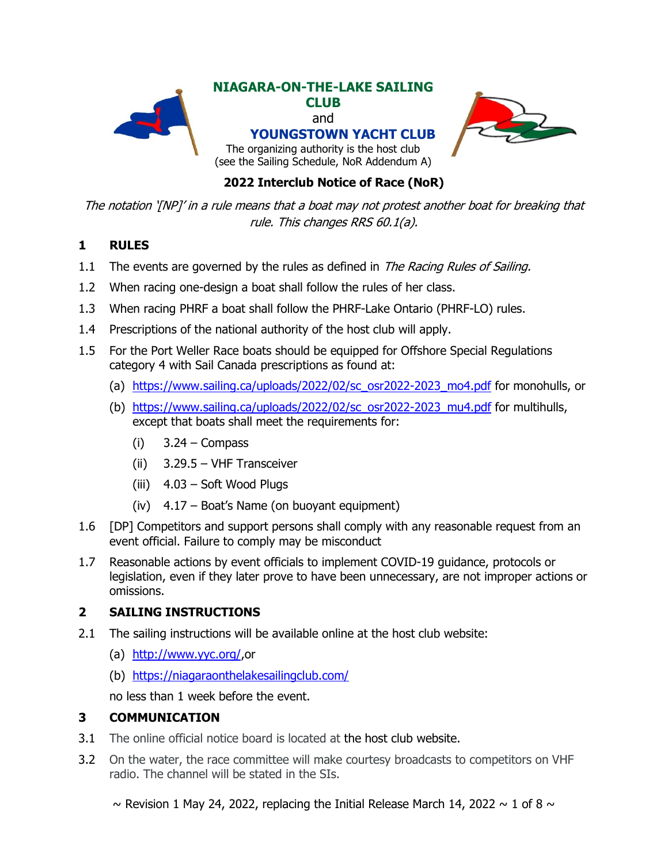

## **2022 Interclub Notice of Race (NoR)**

The notation '[NP]' in a rule means that a boat may not protest another boat for breaking that rule. This changes RRS 60.1(a).

## **1 RULES**

- 1.1 The events are governed by the rules as defined in *The Racing Rules of Sailing.*
- 1.2 When racing one-design a boat shall follow the rules of her class.
- 1.3 When racing PHRF a boat shall follow the PHRF-Lake Ontario (PHRF-LO) rules.
- 1.4 Prescriptions of the national authority of the host club will apply.
- 1.5 For the Port Weller Race boats should be equipped for Offshore Special Regulations category 4 with Sail Canada prescriptions as found at:
	- (a) [https://www.sailing.ca/uploads/2022/02/sc\\_osr2022-2023\\_mo4.pdf](https://www.sailing.ca/uploads/2022/02/sc_osr2022-2023_mo4.pdf) for monohulls, or
	- (b) [https://www.sailing.ca/uploads/2022/02/sc\\_osr2022-2023\\_mu4.pdf](https://www.sailing.ca/uploads/2022/02/sc_osr2022-2023_mu4.pdf) for multihulls, except that boats shall meet the requirements for:
		- $(i)$  3.24 Compass
		- (ii) 3.29.5 VHF Transceiver
		- (iii) 4.03 Soft Wood Plugs
		- (iv) 4.17 Boat's Name (on buoyant equipment)
- 1.6 [DP] Competitors and support persons shall comply with any reasonable request from an event official. Failure to comply may be misconduct
- 1.7 Reasonable actions by event officials to implement COVID-19 guidance, protocols or legislation, even if they later prove to have been unnecessary, are not improper actions or omissions.

#### **2 SAILING INSTRUCTIONS**

- 2.1 The sailing instructions will be available online at the host club website:
	- (a) [http://www.yyc.org/,](http://www.yyc.org/)or
	- (b) <https://niagaraonthelakesailingclub.com/>

no less than 1 week before the event.

#### **3 COMMUNICATION**

- 3.1 The online official notice board is located at the host club website.
- 3.2 On the water, the race committee will make courtesy broadcasts to competitors on VHF radio. The channel will be stated in the SIs.
	- $\sim$  Revision 1 May 24, 2022, replacing the Initial Release March 14, 2022  $\sim$  1 of 8  $\sim$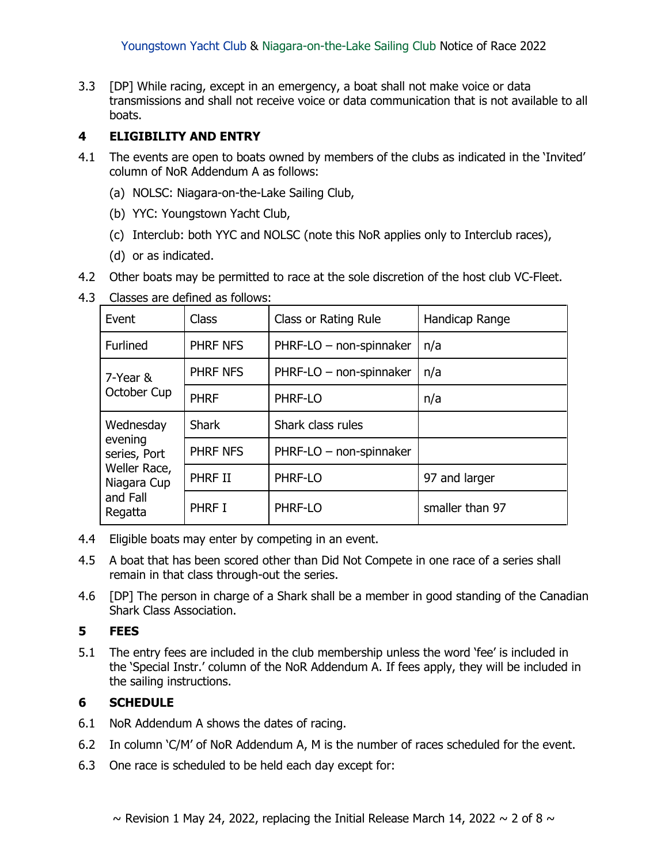3.3 [DP] While racing, except in an emergency, a boat shall not make voice or data transmissions and shall not receive voice or data communication that is not available to all boats.

### **4 ELIGIBILITY AND ENTRY**

- 4.1 The events are open to boats owned by members of the clubs as indicated in the 'Invited' column of NoR Addendum A as follows:
	- (a) NOLSC: Niagara-on-the-Lake Sailing Club,
	- (b) YYC: Youngstown Yacht Club,
	- (c) Interclub: both YYC and NOLSC (note this NoR applies only to Interclub races),
	- (d) or as indicated.
- 4.2 Other boats may be permitted to race at the sole discretion of the host club VC-Fleet.

| 4.3 Classes are defined as follows: |
|-------------------------------------|
|-------------------------------------|

| <b>Class</b><br>Event                                                                      |                 | Class or Rating Rule    | Handicap Range  |
|--------------------------------------------------------------------------------------------|-----------------|-------------------------|-----------------|
| Furlined                                                                                   | PHRF NFS        | PHRF-LO - non-spinnaker | n/a             |
| 7-Year &<br>October Cup                                                                    | PHRF NFS        | PHRF-LO - non-spinnaker | n/a             |
|                                                                                            | <b>PHRF</b>     | PHRF-LO                 | n/a             |
| Wednesday<br>evening<br>series, Port<br>Weller Race,<br>Niagara Cup<br>and Fall<br>Regatta | <b>Shark</b>    | Shark class rules       |                 |
|                                                                                            | <b>PHRF NFS</b> | PHRF-LO - non-spinnaker |                 |
|                                                                                            | PHRF II         | PHRF-LO                 | 97 and larger   |
|                                                                                            | PHRF I          | PHRF-LO                 | smaller than 97 |

- 4.4 Eligible boats may enter by competing in an event.
- 4.5 A boat that has been scored other than Did Not Compete in one race of a series shall remain in that class through-out the series.
- 4.6 [DP] The person in charge of a Shark shall be a member in good standing of the Canadian Shark Class Association.

#### **5 FEES**

5.1 The entry fees are included in the club membership unless the word 'fee' is included in the 'Special Instr.' column of the NoR Addendum A. If fees apply, they will be included in the sailing instructions.

#### **6 SCHEDULE**

- 6.1 NoR Addendum A shows the dates of racing.
- 6.2 In column 'C/M' of NoR Addendum A, M is the number of races scheduled for the event.
- 6.3 One race is scheduled to be held each day except for: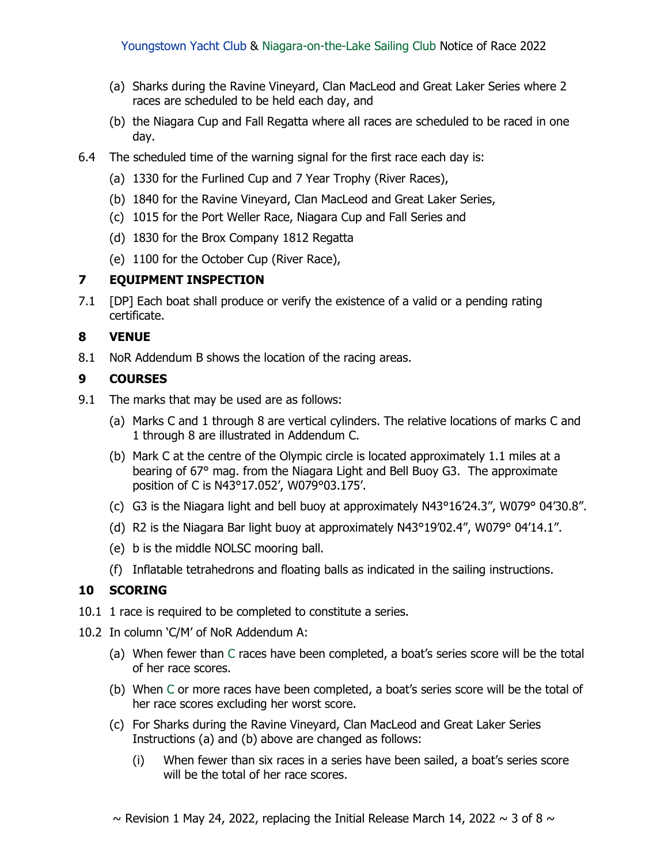- (a) Sharks during the Ravine Vineyard, Clan MacLeod and Great Laker Series where 2 races are scheduled to be held each day, and
- (b) the Niagara Cup and Fall Regatta where all races are scheduled to be raced in one day.
- 6.4 The scheduled time of the warning signal for the first race each day is:
	- (a) 1330 for the Furlined Cup and 7 Year Trophy (River Races),
	- (b) 1840 for the Ravine Vineyard, Clan MacLeod and Great Laker Series,
	- (c) 1015 for the Port Weller Race, Niagara Cup and Fall Series and
	- (d) 1830 for the Brox Company 1812 Regatta
	- (e) 1100 for the October Cup (River Race),

#### **7 EQUIPMENT INSPECTION**

7.1 [DP] Each boat shall produce or verify the existence of a valid or a pending rating certificate.

#### **8 VENUE**

8.1 NoR Addendum B shows the location of the racing areas.

#### **9 COURSES**

- 9.1 The marks that may be used are as follows:
	- (a) Marks C and 1 through 8 are vertical cylinders. The relative locations of marks C and 1 through 8 are illustrated in Addendum C.
	- (b) Mark C at the centre of the Olympic circle is located approximately 1.1 miles at a bearing of 67° mag. from the Niagara Light and Bell Buoy G3. The approximate position of C is N43°17.052', W079°03.175'.
	- (c) G3 is the Niagara light and bell buoy at approximately N43°16'24.3", W079° 04'30.8".
	- (d) R2 is the Niagara Bar light buoy at approximately N43°19'02.4", W079° 04'14.1".
	- (e) b is the middle NOLSC mooring ball.
	- (f) Inflatable tetrahedrons and floating balls as indicated in the sailing instructions.

#### **10 SCORING**

- 10.1 1 race is required to be completed to constitute a series.
- 10.2 In column 'C/M' of NoR Addendum A:
	- (a) When fewer than C races have been completed, a boat's series score will be the total of her race scores.
	- (b) When C or more races have been completed, a boat's series score will be the total of her race scores excluding her worst score.
	- (c) For Sharks during the Ravine Vineyard, Clan MacLeod and Great Laker Series Instructions (a) and (b) above are changed as follows:
		- (i) When fewer than six races in a series have been sailed, a boat's series score will be the total of her race scores.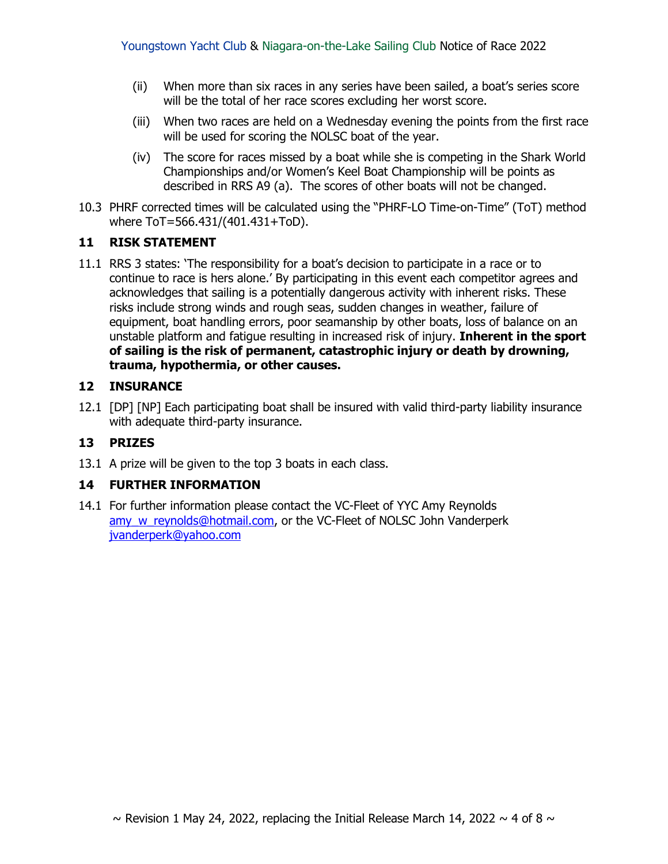- (ii) When more than six races in any series have been sailed, a boat's series score will be the total of her race scores excluding her worst score.
- (iii) When two races are held on a Wednesday evening the points from the first race will be used for scoring the NOLSC boat of the year.
- (iv) The score for races missed by a boat while she is competing in the Shark World Championships and/or Women's Keel Boat Championship will be points as described in RRS A9 (a). The scores of other boats will not be changed.
- 10.3 PHRF corrected times will be calculated using the "PHRF-LO Time-on-Time" (ToT) method where ToT=566.431/(401.431+ToD).

#### **11 RISK STATEMENT**

11.1 RRS 3 states: 'The responsibility for a boat's decision to participate in a race or to continue to race is hers alone.' By participating in this event each competitor agrees and acknowledges that sailing is a potentially dangerous activity with inherent risks. These risks include strong winds and rough seas, sudden changes in weather, failure of equipment, boat handling errors, poor seamanship by other boats, loss of balance on an unstable platform and fatigue resulting in increased risk of injury. **Inherent in the sport of sailing is the risk of permanent, catastrophic injury or death by drowning, trauma, hypothermia, or other causes.**

#### **12 INSURANCE**

12.1 [DP] [NP] Each participating boat shall be insured with valid third-party liability insurance with adequate third-party insurance.

#### **13 PRIZES**

13.1 A prize will be given to the top 3 boats in each class.

#### **14 FURTHER INFORMATION**

14.1 For further information please contact the VC-Fleet of YYC Amy Reynolds amy w reynolds@hotmail.com, or the VC-Fleet of NOLSC John Vanderperk [jvanderperk@yahoo.com](mailto:jvanderperk@yahoo.com)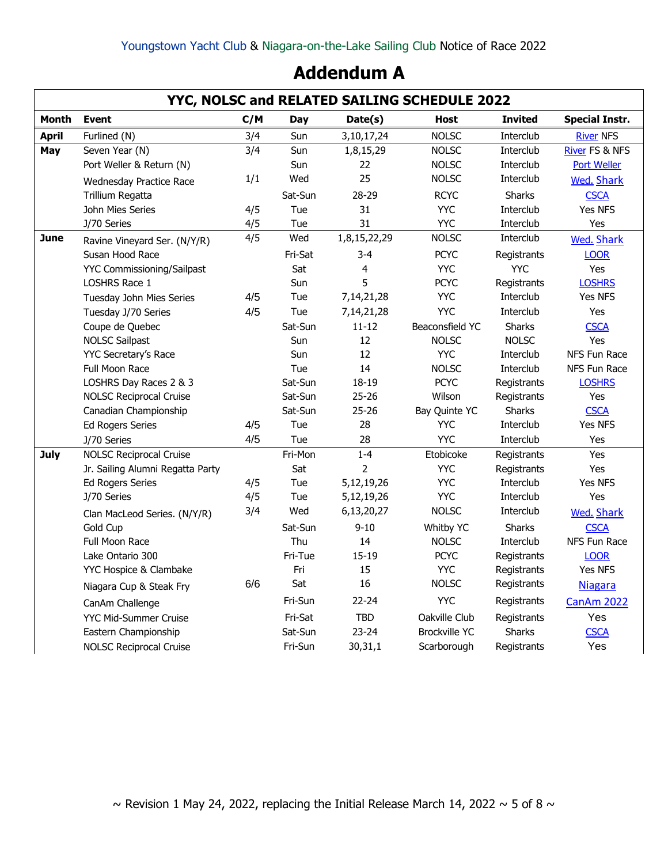# **Addendum A**

|              | YYC, NOLSC and RELATED SAILING SCHEDULE 2022 |     |            |                |                      |                |                           |  |  |
|--------------|----------------------------------------------|-----|------------|----------------|----------------------|----------------|---------------------------|--|--|
| Month        | <b>Event</b>                                 | C/M | <b>Day</b> | Date(s)        | <b>Host</b>          | <b>Invited</b> | <b>Special Instr.</b>     |  |  |
| <b>April</b> | Furlined (N)                                 | 3/4 | Sun        | 3, 10, 17, 24  | <b>NOLSC</b>         | Interclub      | <b>River NFS</b>          |  |  |
| May          | Seven Year (N)                               | 3/4 | Sun        | 1,8,15,29      | <b>NOLSC</b>         | Interclub      | <b>River FS &amp; NFS</b> |  |  |
|              | Port Weller & Return (N)                     |     | Sun        | 22             | <b>NOLSC</b>         | Interclub      | <b>Port Weller</b>        |  |  |
|              | Wednesday Practice Race                      | 1/1 | Wed        | 25             | <b>NOLSC</b>         | Interclub      | <b>Wed. Shark</b>         |  |  |
|              | Trillium Regatta                             |     | Sat-Sun    | 28-29          | <b>RCYC</b>          | <b>Sharks</b>  | <b>CSCA</b>               |  |  |
|              | John Mies Series                             | 4/5 | Tue        | 31             | <b>YYC</b>           | Interclub      | Yes NFS                   |  |  |
|              | J/70 Series                                  | 4/5 | Tue        | 31             | <b>YYC</b>           | Interclub      | Yes                       |  |  |
| <b>June</b>  | Ravine Vineyard Ser. (N/Y/R)                 | 4/5 | Wed        | 1,8,15,22,29   | <b>NOLSC</b>         | Interclub      | <b>Wed. Shark</b>         |  |  |
|              | Susan Hood Race                              |     | Fri-Sat    | $3 - 4$        | <b>PCYC</b>          | Registrants    | <b>LOOR</b>               |  |  |
|              | <b>YYC Commissioning/Sailpast</b>            |     | Sat        | 4              | <b>YYC</b>           | <b>YYC</b>     | Yes                       |  |  |
|              | LOSHRS Race 1                                |     | Sun        | 5              | <b>PCYC</b>          | Registrants    | <b>LOSHRS</b>             |  |  |
|              | Tuesday John Mies Series                     | 4/5 | Tue        | 7,14,21,28     | <b>YYC</b>           | Interclub      | <b>Yes NFS</b>            |  |  |
|              | Tuesday J/70 Series                          | 4/5 | Tue        | 7, 14, 21, 28  | <b>YYC</b>           | Interclub      | Yes                       |  |  |
|              | Coupe de Quebec                              |     | Sat-Sun    | $11 - 12$      | Beaconsfield YC      | Sharks         | <b>CSCA</b>               |  |  |
|              | <b>NOLSC Sailpast</b>                        |     | Sun        | 12             | <b>NOLSC</b>         | <b>NOLSC</b>   | Yes                       |  |  |
|              | <b>YYC Secretary's Race</b>                  |     | Sun        | 12             | <b>YYC</b>           | Interclub      | NFS Fun Race              |  |  |
|              | <b>Full Moon Race</b>                        |     | Tue        | 14             | <b>NOLSC</b>         | Interclub      | NFS Fun Race              |  |  |
|              | LOSHRS Day Races 2 & 3                       |     | Sat-Sun    | 18-19          | <b>PCYC</b>          | Registrants    | <b>LOSHRS</b>             |  |  |
|              | <b>NOLSC Reciprocal Cruise</b>               |     | Sat-Sun    | $25 - 26$      | Wilson               | Registrants    | Yes                       |  |  |
|              | Canadian Championship                        |     | Sat-Sun    | $25 - 26$      | Bay Quinte YC        | <b>Sharks</b>  | <b>CSCA</b>               |  |  |
|              | <b>Ed Rogers Series</b>                      | 4/5 | Tue        | 28             | <b>YYC</b>           | Interclub      | Yes NFS                   |  |  |
|              | J/70 Series                                  | 4/5 | Tue        | 28             | <b>YYC</b>           | Interclub      | Yes                       |  |  |
| <b>July</b>  | <b>NOLSC Reciprocal Cruise</b>               |     | Fri-Mon    | $1 - 4$        | Etobicoke            | Registrants    | Yes                       |  |  |
|              | Jr. Sailing Alumni Regatta Party             |     | Sat        | $\overline{2}$ | <b>YYC</b>           | Registrants    | Yes                       |  |  |
|              | <b>Ed Rogers Series</b>                      | 4/5 | Tue        | 5,12,19,26     | <b>YYC</b>           | Interclub      | Yes NFS                   |  |  |
|              | J/70 Series                                  | 4/5 | Tue        | 5,12,19,26     | <b>YYC</b>           | Interclub      | Yes                       |  |  |
|              | Clan MacLeod Series. (N/Y/R)                 | 3/4 | Wed        | 6,13,20,27     | <b>NOLSC</b>         | Interclub      | <b>Wed. Shark</b>         |  |  |
|              | Gold Cup                                     |     | Sat-Sun    | $9 - 10$       | Whitby YC            | <b>Sharks</b>  | <b>CSCA</b>               |  |  |
|              | Full Moon Race                               |     | Thu        | 14             | <b>NOLSC</b>         | Interclub      | NFS Fun Race              |  |  |
|              | Lake Ontario 300                             |     | Fri-Tue    | $15 - 19$      | <b>PCYC</b>          | Registrants    | <b>LOOR</b>               |  |  |
|              | YYC Hospice & Clambake                       |     | Fri        | 15             | <b>YYC</b>           | Registrants    | Yes NFS                   |  |  |
|              | Niagara Cup & Steak Fry                      | 6/6 | Sat        | 16             | <b>NOLSC</b>         | Registrants    | <b>Niagara</b>            |  |  |
|              | CanAm Challenge                              |     | Fri-Sun    | $22 - 24$      | <b>YYC</b>           | Registrants    | CanAm 2022                |  |  |
|              | YYC Mid-Summer Cruise                        |     | Fri-Sat    | <b>TBD</b>     | Oakville Club        | Registrants    | Yes                       |  |  |
|              | Eastern Championship                         |     | Sat-Sun    | $23 - 24$      | <b>Brockville YC</b> | Sharks         | <b>CSCA</b>               |  |  |
|              | <b>NOLSC Reciprocal Cruise</b>               |     | Fri-Sun    | 30,31,1        | Scarborough          | Registrants    | Yes                       |  |  |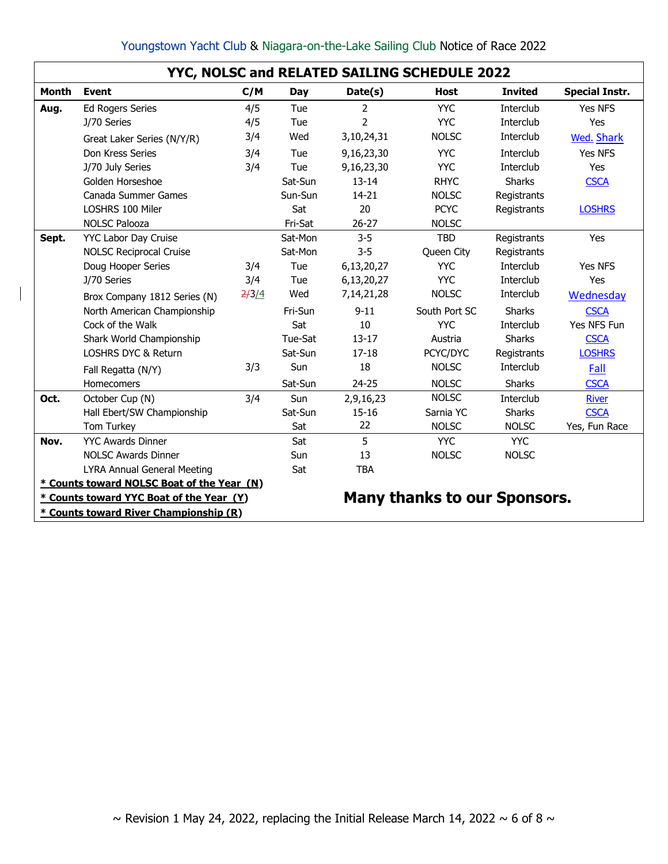| Youngstown Yacht Club & Niagara-on-the-Lake Sailing Club Notice of Race 2022 |  |  |  |  |  |  |  |  |  |  |
|------------------------------------------------------------------------------|--|--|--|--|--|--|--|--|--|--|
|------------------------------------------------------------------------------|--|--|--|--|--|--|--|--|--|--|

|              | YYC, NOLSC and RELATED SAILING SCHEDULE 2022 |       |         |            |                                     |                |                       |  |  |  |
|--------------|----------------------------------------------|-------|---------|------------|-------------------------------------|----------------|-----------------------|--|--|--|
| <b>Month</b> | <b>Event</b>                                 | C/M   | Day     | Date(s)    | <b>Host</b>                         | <b>Invited</b> | <b>Special Instr.</b> |  |  |  |
| Aug.         | <b>Ed Rogers Series</b>                      | 4/5   | Tue     | 2          | <b>YYC</b>                          | Interclub      | Yes NFS               |  |  |  |
|              | J/70 Series                                  | 4/5   | Tue     | 2          | <b>YYC</b>                          | Interclub      | Yes                   |  |  |  |
|              | Great Laker Series (N/Y/R)                   | 3/4   | Wed     | 3,10,24,31 | <b>NOLSC</b>                        | Interclub      | <b>Wed. Shark</b>     |  |  |  |
|              | Don Kress Series                             | 3/4   | Tue     | 9,16,23,30 | <b>YYC</b>                          | Interclub      | Yes NFS               |  |  |  |
|              | J/70 July Series                             | 3/4   | Tue     | 9,16,23,30 | <b>YYC</b>                          | Interclub      | Yes                   |  |  |  |
|              | Golden Horseshoe                             |       | Sat-Sun | $13 - 14$  | <b>RHYC</b>                         | <b>Sharks</b>  | <b>CSCA</b>           |  |  |  |
|              | Canada Summer Games                          |       | Sun-Sun | $14 - 21$  | <b>NOLSC</b>                        | Registrants    |                       |  |  |  |
|              | LOSHRS 100 Miler                             |       | Sat     | 20         | <b>PCYC</b>                         | Registrants    | <b>LOSHRS</b>         |  |  |  |
|              | <b>NOLSC Palooza</b>                         |       | Fri-Sat | $26 - 27$  | <b>NOLSC</b>                        |                |                       |  |  |  |
| Sept.        | YYC Labor Day Cruise                         |       | Sat-Mon | $3-5$      | <b>TBD</b>                          | Registrants    | Yes                   |  |  |  |
|              | <b>NOLSC Reciprocal Cruise</b>               |       | Sat-Mon | $3 - 5$    | Queen City                          | Registrants    |                       |  |  |  |
|              | Doug Hooper Series                           | 3/4   | Tue     | 6,13,20,27 | <b>YYC</b>                          | Interclub      | Yes NFS               |  |  |  |
|              | J/70 Series                                  | 3/4   | Tue     | 6,13,20,27 | <b>YYC</b>                          | Interclub      | Yes                   |  |  |  |
|              | Brox Company 1812 Series (N)                 | 2/3/4 | Wed     | 7,14,21,28 | <b>NOLSC</b>                        | Interclub      | Wednesday             |  |  |  |
|              | North American Championship                  |       | Fri-Sun | $9 - 11$   | South Port SC                       | <b>Sharks</b>  | <b>CSCA</b>           |  |  |  |
|              | Cock of the Walk                             |       | Sat     | 10         | <b>YYC</b>                          | Interclub      | Yes NFS Fun           |  |  |  |
|              | Shark World Championship                     |       | Tue-Sat | $13 - 17$  | Austria                             | <b>Sharks</b>  | <b>CSCA</b>           |  |  |  |
|              | <b>LOSHRS DYC &amp; Return</b>               |       | Sat-Sun | $17 - 18$  | PCYC/DYC                            | Registrants    | <b>LOSHRS</b>         |  |  |  |
|              | Fall Regatta (N/Y)                           | 3/3   | Sun     | 18         | <b>NOLSC</b>                        | Interclub      | Fall                  |  |  |  |
|              | Homecomers                                   |       | Sat-Sun | $24 - 25$  | <b>NOLSC</b>                        | Sharks         | <b>CSCA</b>           |  |  |  |
| Oct.         | October Cup (N)                              | 3/4   | Sun     | 2,9,16,23  | <b>NOLSC</b>                        | Interclub      | <b>River</b>          |  |  |  |
|              | Hall Ebert/SW Championship                   |       | Sat-Sun | $15 - 16$  | Sarnia YC                           | <b>Sharks</b>  | <b>CSCA</b>           |  |  |  |
|              | Tom Turkey                                   |       | Sat     | 22         | <b>NOLSC</b>                        | <b>NOLSC</b>   | Yes, Fun Race         |  |  |  |
| Nov.         | <b>YYC Awards Dinner</b>                     |       | Sat     | 5          | <b>YYC</b>                          | <b>YYC</b>     |                       |  |  |  |
|              | <b>NOLSC Awards Dinner</b>                   |       | Sun     | 13         | <b>NOLSC</b>                        | <b>NOLSC</b>   |                       |  |  |  |
|              | <b>LYRA Annual General Meeting</b>           |       | Sat     | <b>TBA</b> |                                     |                |                       |  |  |  |
|              | * Counts toward NOLSC Boat of the Year (N)   |       |         |            |                                     |                |                       |  |  |  |
|              | * Counts toward YYC Boat of the Year (Y)     |       |         |            | <b>Many thanks to our Sponsors.</b> |                |                       |  |  |  |
|              | * Counts toward River Championship (R)       |       |         |            |                                     |                |                       |  |  |  |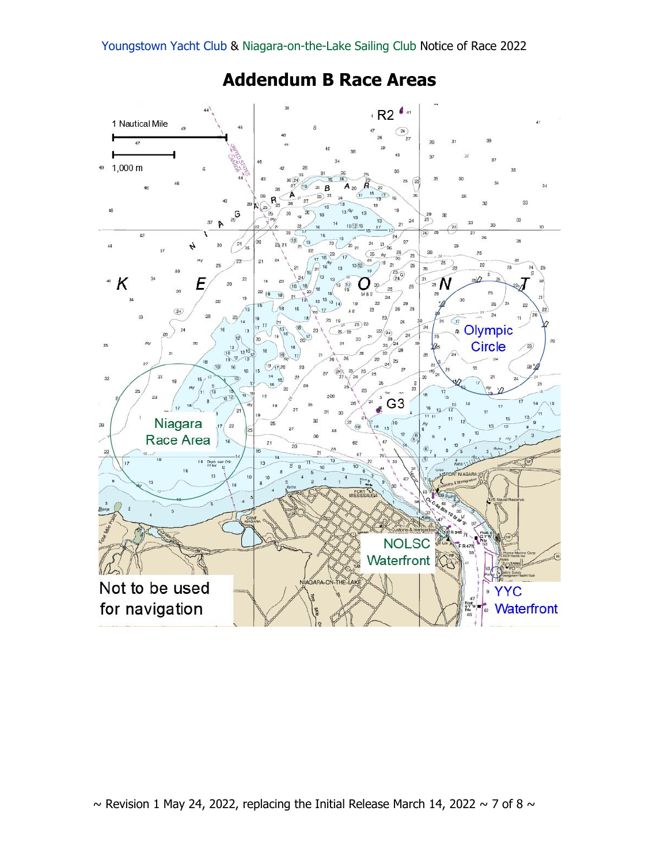

# **Addendum B Race Areas**